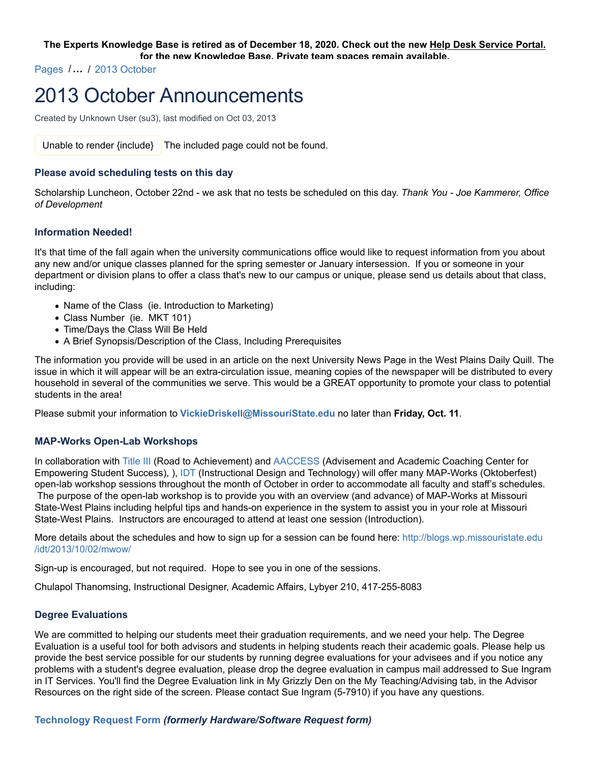#### **The Experts Knowledge Base is retired as of December 18, 2020. Check out the new Help Desk Service Portal. for the new Knowledge Base. Private team spaces remain available.**

Pages /**…** / 2013 October

# 2013 October Announcements

Created by Unknown User (su3), last modified on Oct 03, 2013

Unable to render  $\{$ include $\}$  The included page could not be found.

## **Please avoid scheduling tests on this day**

Scholarship Luncheon, October 22nd - we ask that no tests be scheduled on this day. *Thank You - Joe Kammerer, Office of Development*

### **Information Needed!**

It's that time of the fall again when the university communications office would like to request information from you about any new and/or unique classes planned for the spring semester or January intersession. If you or someone in your department or division plans to offer a class that's new to our campus or unique, please send us details about that class, including:

- Name of the Class (ie. Introduction to Marketing)
- Class Number (ie. MKT 101)
- Time/Days the Class Will Be Held
- A Brief Synopsis/Description of the Class, Including Prerequisites

The information you provide will be used in an article on the next University News Page in the West Plains Daily Quill. The issue in which it will appear will be an extra-circulation issue, meaning copies of the newspaper will be distributed to every household in several of the communities we serve. This would be a GREAT opportunity to promote your class to potential students in the area!

Please submit your information to **VickieDriskell@MissouriState.edu** no later than **Friday, Oct. 11**.

## **MAP-Works Open-Lab Workshops**

In collaboration with Title III (Road to Achievement) and AACCESS (Advisement and Academic Coaching Center for Empowering Student Success), ), IDT (Instructional Design and Technology) will offer many MAP-Works (Oktoberfest) open-lab workshop sessions throughout the month of October in order to accommodate all faculty and staff's schedules. The purpose of the open-lab workshop is to provide you with an overview (and advance) of MAP-Works at Missouri State-West Plains including helpful tips and hands-on experience in the system to assist you in your role at Missouri State-West Plains. Instructors are encouraged to attend at least one session (Introduction).

More details about the schedules and how to sign up for a session can be found here: http://blogs.wp.missouristate.edu /idt/2013/10/02/mwow/

Sign-up is encouraged, but not required. Hope to see you in one of the sessions.

Chulapol Thanomsing, Instructional Designer, Academic Affairs, Lybyer 210, 417-255-8083

## **Degree Evaluations**

We are committed to helping our students meet their graduation requirements, and we need your help. The Degree Evaluation is a useful tool for both advisors and students in helping students reach their academic goals. Please help us provide the best service possible for our students by running degree evaluations for your advisees and if you notice any problems with a student's degree evaluation, please drop the degree evaluation in campus mail addressed to Sue Ingram in IT Services. You'll find the Degree Evaluation link in My Grizzly Den on the My Teaching/Advising tab, in the Advisor Resources on the right side of the screen. Please contact Sue Ingram (5-7910) if you have any questions.

## **Technology Request Form** *(formerly Hardware/Software Request form)*